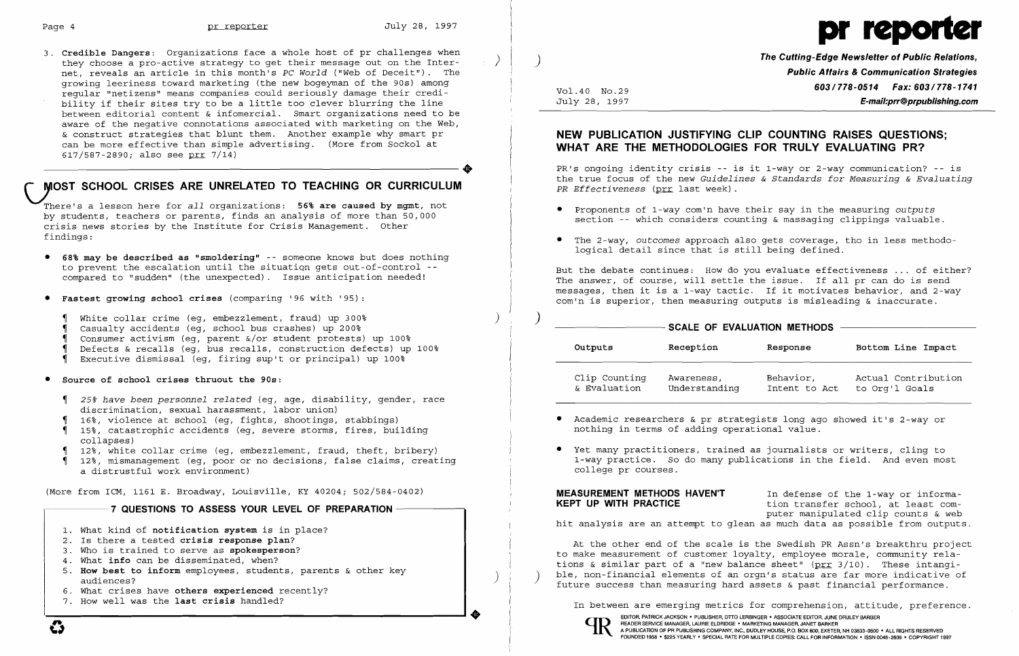

3. **Credible Dangers:** Organizations face a whole host of pr challenges when they choose a pro-active strategy to get their message out on the Internet, reveals an article in this month's *PC World* ("Web of Deceit"). The growing leeriness toward marketing (the new bogeyman of the 90s) among regular "netizens" means companies could seriously damage their credibility if their sites try to be a little too clever blurring the line between editorial content & infomercial. Smart organizations need to be aware of the negative connotations associated with marketing on the Web, & construct strategies that blunt them. Another example why smart pr can be more effective than simple advertising. (More from Sockol at 617/587-2890; also see prr 7/14)  $617/587-2890$ ; also see prr 7/14)

# *\..lOST* **SCHOOL CRISES ARE UNRELATED TO TEACHING OR CURRICULUM**

There's a lesson here for *all* organizations: **56% are caused by mgmt,** not by students, teachers or parents, finds an analysis of more than 50,000 crisis news stories by the Institute for Crisis Management. Other findings:

**The Cutting-Edge Newsletter of Public Relations,** ) **Public Affairs & Communication Strategies 603/778-0514 Fax: 603/778-1741 Fax: 603/778-1741**<br>July 28, 1997 **F-mail:prr@prpublishing.com** E-mail:prr@prpublishing.com

- **• 68% may be described as "smoldering"** -- someone knows but does nothing to prevent the escalation until the situation gets out-of-control -compared to "sudden" (the unexpected). Issue anticipation needed!
- **• Fastest growing school crises** (comparing '96 with '95):
	- , White collar crime (eg, embezzlement, fraud) up 300% ) , Casualty accidents (eg, school bus crashes) up 200%
	- Casualty accidents (eq. school bus crashes) up 200%
	- , Consumer activism (eg, parent &/or student protests) up 100%
	- , Defects & recalls (eg, bus recalls, construction defects) up 100%
	- , Executive dismissal (eg, firing sup't or principal) up 100%
- **• Source of school crises thruout the 90s:**
- Sourc<mark>e of school crises thruout the 90s</mark>:<br>¶ *25% have been personnel related* (eg, age, disability, gender, race  $\frac{1}{4}$  $\frac{1}{4}$ discrimination, sexual harassment, labor union)
	- 16%, violence at school (eg, fights, shootings, stabbings)
	- q 15%, catastrophic accidents (eg, severe storms, fires, building<br>collapses)<br>12%, white collar crime (eg, embezzlement, fraud, theft, bribery  $\frac{1}{1}$ collapses)
	- 12%, white collar crime (eg, embezzlement, fraud, theft, bribery)
	- 12%, mismanagement (eg, poor or no decisions, false claims, creating a distrustful work environment)
- Academic researchers & pr strategists long ago showed it's 2-way or nothing in terms of adding operational value.
- • Yet many practitioners, trained as journalists or writers, cling to college pr courses.

At the other end of the scale is the Swedish PR Assn's breakthru project to make measurement of customer loyalty, employee morale, community relations & similar part of a "new balance sheet" ( $prr$  3/10). These intangi-<br>ble, non-financial elements of an orgn's status are far more indicative of future success than measuring hard assets & past financial performance.



(More from ICM, 1161 E. Broadway, Louisville, KY 40204; 502/584-0402)

## 7 QUESTIONS TO ASSESS YOUR LEVEL OF PREPARATION **•**

- 1. What kind of **notification system** is in place?
- 2. Is there a tested **crisis response plan?**
- 3. Who is trained to serve as **spokesperson?**
- 4. What **info** can be disseminated, when?
- 5. **How best to inform** employees, students, parents & other key audiences?
- 6. What crises have **others experienced** recently?
- 7. How well was the **last crisis** handled? **'.**

## **NEW PUBLICATION JUSTIFYING CLIP COUNTING RAISES QUESTIONS; WHAT ARE THE METHODOLOGIES FOR TRULY EVALUATING PR?**

PR's ongoing identity crisis -- is it 1-way or 2-way communication? -- is the true focus of the new *Guidelines* & *Standards for Measuring* & *Evaluating PR Effectiveness* (prr last week) .

section -- which considers counting & massaging clippings valuable.

- • Proponents of 1-way com'n have their say in the measuring *outputs*
- • The 2-way, *outcomes* approach also gets coverage, tho in less methodological detail since that is still being defined.

But the debate continues: How do you evaluate effectiveness ... of either? The answer, of course, will settle the issue. If all pr can do is send messages, then it is a 1-way tactic. If it motivates behavior, and 2-way com'n is superior, then measuring outputs is misleading & inaccurate.

## SCALE OF EVALUATION METHODS -

| Outputs       | Reception     | Response      | Bottom Line Impact  |
|---------------|---------------|---------------|---------------------|
| Clip Counting | Awareness,    | Behavior,     | Actual Contribution |
| & Evaluation  | Understanding | Intent to Act | to Org'l Goals      |

1-way practice. So do many publications in the field. And even most

In between are emerging metrics for comprehension, attitude, preference.

**MEASUREMENT METHODS HAVEN'T** In defense of the 1-way or information transfer school, at least computer manipulated clip counts & web hit analysis are an attempt to glean as much data as possible from outputs.

> EDITOR, PATRICK JACKSON' PUBLISHER, OTTO LERBINGER • ASSOCIATE EDITOR, JUNE DRULEY BARBER A PUBLICATION OF PR PUBLISHING COMPANY, INC., DUDLEY HOUSE, P.O. BOX 600, EXETER, NH 03833-0600 · ALL RIGHTS RESERVED FOUNDED 1958 • \$225 YEARLY' SPECIAL RATE FOR MULTIPLE COPIES: CALL FOR INFORMATION' ISSN 0048-2609' COPYRIGHT 1997

 $\overline{qp}$ 

 $\boldsymbol{\mathcal{C}}$